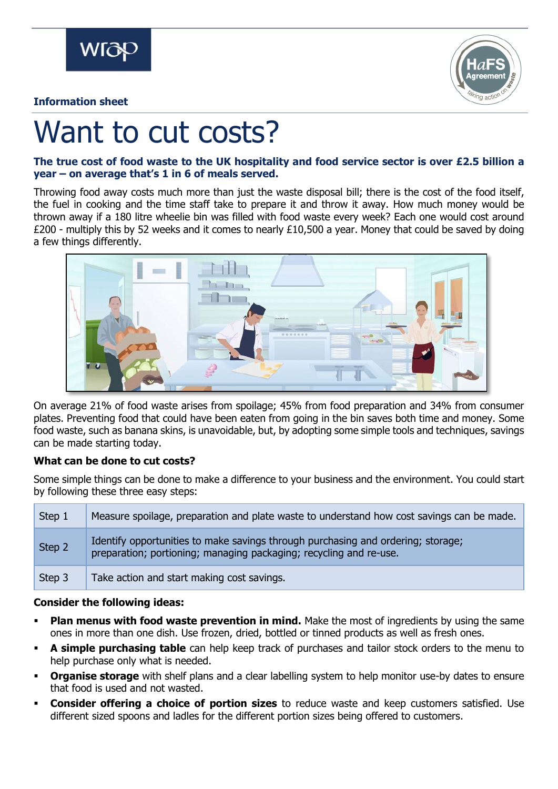

### **Information sheet**



# Want to cut costs?

## **The true cost of food waste to the UK hospitality and food service sector is over £2.5 billion a year – on average that's 1 in 6 of meals served.**

Throwing food away costs much more than just the waste disposal bill; there is the cost of the food itself, the fuel in cooking and the time staff take to prepare it and throw it away. How much money would be thrown away if a 180 litre wheelie bin was filled with food waste every week? Each one would cost around £200 - multiply this by 52 weeks and it comes to nearly £10,500 a year. Money that could be saved by doing a few things differently.



On average 21% of food waste arises from spoilage; 45% from food preparation and 34% from consumer plates. Preventing food that could have been eaten from going in the bin saves both time and money. Some food waste, such as banana skins, is unavoidable, but, by adopting some simple tools and techniques, savings can be made starting today.

# **What can be done to cut costs?**

Some simple things can be done to make a difference to your business and the environment. You could start by following these three easy steps:

| Step 1 | Measure spoilage, preparation and plate waste to understand how cost savings can be made.                                                              |
|--------|--------------------------------------------------------------------------------------------------------------------------------------------------------|
| Step 2 | Identify opportunities to make savings through purchasing and ordering; storage;<br>preparation; portioning; managing packaging; recycling and re-use. |
| Step 3 | Take action and start making cost savings.                                                                                                             |

### **Consider the following ideas:**

- **Plan menus with food waste prevention in mind.** Make the most of ingredients by using the same ones in more than one dish. Use frozen, dried, bottled or tinned products as well as fresh ones.
- **A simple purchasing table** can help keep track of purchases and tailor stock orders to the menu to help purchase only what is needed.
- **Organise storage** with shelf plans and a clear labelling system to help monitor use-by dates to ensure that food is used and not wasted.
- **Consider offering a choice of portion sizes** to reduce waste and keep customers satisfied. Use different sized spoons and ladles for the different portion sizes being offered to customers.